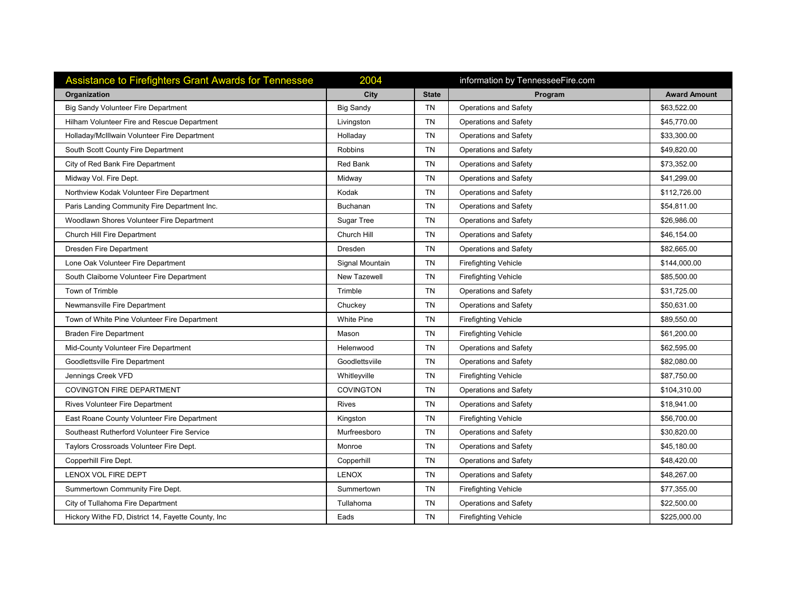| <b>Assistance to Firefighters Grant Awards for Tennessee</b> | 2004                |              | information by TennesseeFire.com |                     |
|--------------------------------------------------------------|---------------------|--------------|----------------------------------|---------------------|
| Organization                                                 | City                | <b>State</b> | Program                          | <b>Award Amount</b> |
| Big Sandy Volunteer Fire Department                          | <b>Big Sandy</b>    | <b>TN</b>    | <b>Operations and Safety</b>     | \$63,522.00         |
| Hilham Volunteer Fire and Rescue Department                  | Livingston          | <b>TN</b>    | Operations and Safety            | \$45,770.00         |
| Holladay/McIllwain Volunteer Fire Department                 | Holladay            | <b>TN</b>    | <b>Operations and Safety</b>     | \$33,300.00         |
| South Scott County Fire Department                           | <b>Robbins</b>      | <b>TN</b>    | Operations and Safety            | \$49,820.00         |
| City of Red Bank Fire Department                             | Red Bank            | TN           | Operations and Safety            | \$73,352.00         |
| Midway Vol. Fire Dept.                                       | Midway              | <b>TN</b>    | Operations and Safety            | \$41,299.00         |
| Northview Kodak Volunteer Fire Department                    | Kodak               | TN           | Operations and Safety            | \$112,726.00        |
| Paris Landing Community Fire Department Inc.                 | Buchanan            | TN.          | <b>Operations and Safety</b>     | \$54,811.00         |
| Woodlawn Shores Volunteer Fire Department                    | Sugar Tree          | TN           | Operations and Safety            | \$26,986.00         |
| Church Hill Fire Department                                  | Church Hill         | <b>TN</b>    | <b>Operations and Safety</b>     | \$46,154.00         |
| Dresden Fire Department                                      | Dresden             | <b>TN</b>    | <b>Operations and Safety</b>     | \$82,665.00         |
| Lone Oak Volunteer Fire Department                           | Signal Mountain     | <b>TN</b>    | <b>Firefighting Vehicle</b>      | \$144,000.00        |
| South Claiborne Volunteer Fire Department                    | <b>New Tazewell</b> | <b>TN</b>    | <b>Firefighting Vehicle</b>      | \$85,500.00         |
| Town of Trimble                                              | Trimble             | <b>TN</b>    | <b>Operations and Safety</b>     | \$31,725.00         |
| Newmansville Fire Department                                 | Chuckey             | <b>TN</b>    | <b>Operations and Safety</b>     | \$50,631.00         |
| Town of White Pine Volunteer Fire Department                 | <b>White Pine</b>   | <b>TN</b>    | <b>Firefighting Vehicle</b>      | \$89,550.00         |
| <b>Braden Fire Department</b>                                | Mason               | <b>TN</b>    | <b>Firefighting Vehicle</b>      | \$61,200.00         |
| Mid-County Volunteer Fire Department                         | Helenwood           | TN           | <b>Operations and Safety</b>     | \$62,595.00         |
| Goodlettsville Fire Department                               | Goodlettsviile      | <b>TN</b>    | <b>Operations and Safety</b>     | \$82,080.00         |
| Jennings Creek VFD                                           | Whitleyville        | TN           | <b>Firefighting Vehicle</b>      | \$87,750.00         |
| <b>COVINGTON FIRE DEPARTMENT</b>                             | <b>COVINGTON</b>    | <b>TN</b>    | <b>Operations and Safety</b>     | \$104,310.00        |
| <b>Rives Volunteer Fire Department</b>                       | <b>Rives</b>        | <b>TN</b>    | <b>Operations and Safety</b>     | \$18,941.00         |
| East Roane County Volunteer Fire Department                  | Kingston            | <b>TN</b>    | <b>Firefighting Vehicle</b>      | \$56,700.00         |
| Southeast Rutherford Volunteer Fire Service                  | Murfreesboro        | <b>TN</b>    | Operations and Safety            | \$30,820.00         |
| Taylors Crossroads Volunteer Fire Dept.                      | Monroe              | <b>TN</b>    | <b>Operations and Safety</b>     | \$45,180.00         |
| Copperhill Fire Dept.                                        | Copperhill          | <b>TN</b>    | <b>Operations and Safety</b>     | \$48,420.00         |
| LENOX VOL FIRE DEPT                                          | <b>LENOX</b>        | <b>TN</b>    | Operations and Safety            | \$48,267.00         |
| Summertown Community Fire Dept.                              | Summertown          | <b>TN</b>    | <b>Firefighting Vehicle</b>      | \$77,355.00         |
| City of Tullahoma Fire Department                            | Tullahoma           | TN           | <b>Operations and Safety</b>     | \$22,500.00         |
| Hickory Withe FD, District 14, Fayette County, Inc.          | Eads                | TN           | <b>Firefighting Vehicle</b>      | \$225,000.00        |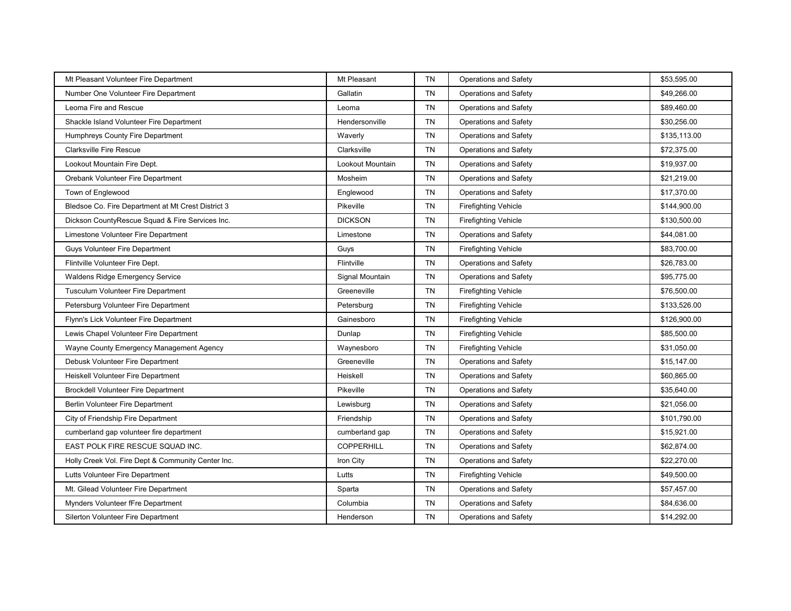| Mt Pleasant Volunteer Fire Department              | Mt Pleasant       | <b>TN</b> | <b>Operations and Safety</b> | \$53,595.00  |
|----------------------------------------------------|-------------------|-----------|------------------------------|--------------|
| Number One Volunteer Fire Department               | Gallatin          | <b>TN</b> | Operations and Safety        | \$49,266.00  |
| Leoma Fire and Rescue                              | Leoma             | <b>TN</b> | <b>Operations and Safety</b> | \$89,460.00  |
| Shackle Island Volunteer Fire Department           | Hendersonville    | <b>TN</b> | <b>Operations and Safety</b> | \$30,256.00  |
| Humphreys County Fire Department                   | Waverly           | <b>TN</b> | <b>Operations and Safety</b> | \$135,113.00 |
| <b>Clarksville Fire Rescue</b>                     | Clarksville       | <b>TN</b> | <b>Operations and Safety</b> | \$72,375.00  |
| Lookout Mountain Fire Dept.                        | Lookout Mountain  | <b>TN</b> | Operations and Safety        | \$19,937.00  |
| Orebank Volunteer Fire Department                  | Mosheim           | <b>TN</b> | <b>Operations and Safety</b> | \$21,219.00  |
| Town of Englewood                                  | Englewood         | <b>TN</b> | <b>Operations and Safety</b> | \$17,370.00  |
| Bledsoe Co. Fire Department at Mt Crest District 3 | Pikeville         | TN        | <b>Firefighting Vehicle</b>  | \$144,900.00 |
| Dickson CountyRescue Squad & Fire Services Inc.    | <b>DICKSON</b>    | <b>TN</b> | <b>Firefighting Vehicle</b>  | \$130,500.00 |
| Limestone Volunteer Fire Department                | Limestone         | <b>TN</b> | <b>Operations and Safety</b> | \$44,081.00  |
| Guys Volunteer Fire Department                     | Guys              | <b>TN</b> | <b>Firefighting Vehicle</b>  | \$83,700.00  |
| Flintville Volunteer Fire Dept.                    | Flintville        | <b>TN</b> | <b>Operations and Safety</b> | \$26,783.00  |
| Waldens Ridge Emergency Service                    | Signal Mountain   | <b>TN</b> | <b>Operations and Safety</b> | \$95,775.00  |
| Tusculum Volunteer Fire Department                 | Greeneville       | TN        | <b>Firefighting Vehicle</b>  | \$76,500.00  |
| Petersburg Volunteer Fire Department               | Petersburg        | <b>TN</b> | <b>Firefighting Vehicle</b>  | \$133,526.00 |
| Flynn's Lick Volunteer Fire Department             | Gainesboro        | <b>TN</b> | <b>Firefighting Vehicle</b>  | \$126,900.00 |
| Lewis Chapel Volunteer Fire Department             | Dunlap            | TN        | <b>Firefighting Vehicle</b>  | \$85,500.00  |
| Wayne County Emergency Management Agency           | Waynesboro        | <b>TN</b> | <b>Firefighting Vehicle</b>  | \$31,050.00  |
| Debusk Volunteer Fire Department                   | Greeneville       | <b>TN</b> | <b>Operations and Safety</b> | \$15,147.00  |
| Heiskell Volunteer Fire Department                 | Heiskell          | <b>TN</b> | <b>Operations and Safety</b> | \$60,865.00  |
| <b>Brockdell Volunteer Fire Department</b>         | Pikeville         | <b>TN</b> | Operations and Safety        | \$35,640.00  |
| Berlin Volunteer Fire Department                   | Lewisburg         | <b>TN</b> | <b>Operations and Safety</b> | \$21,056.00  |
| City of Friendship Fire Department                 | Friendship        | <b>TN</b> | <b>Operations and Safety</b> | \$101,790.00 |
| cumberland gap volunteer fire department           | cumberland gap    | <b>TN</b> | <b>Operations and Safety</b> | \$15,921.00  |
| EAST POLK FIRE RESCUE SQUAD INC.                   | <b>COPPERHILL</b> | <b>TN</b> | <b>Operations and Safety</b> | \$62,874.00  |
| Holly Creek Vol. Fire Dept & Community Center Inc. | Iron City         | <b>TN</b> | Operations and Safety        | \$22,270.00  |
| Lutts Volunteer Fire Department                    | Lutts             | <b>TN</b> | <b>Firefighting Vehicle</b>  | \$49,500.00  |
| Mt. Gilead Volunteer Fire Department               | Sparta            | <b>TN</b> | <b>Operations and Safety</b> | \$57,457.00  |
| Mynders Volunteer fFre Department                  | Columbia          | <b>TN</b> | <b>Operations and Safety</b> | \$84,636.00  |
| Silerton Volunteer Fire Department                 | Henderson         | <b>TN</b> | Operations and Safety        | \$14,292.00  |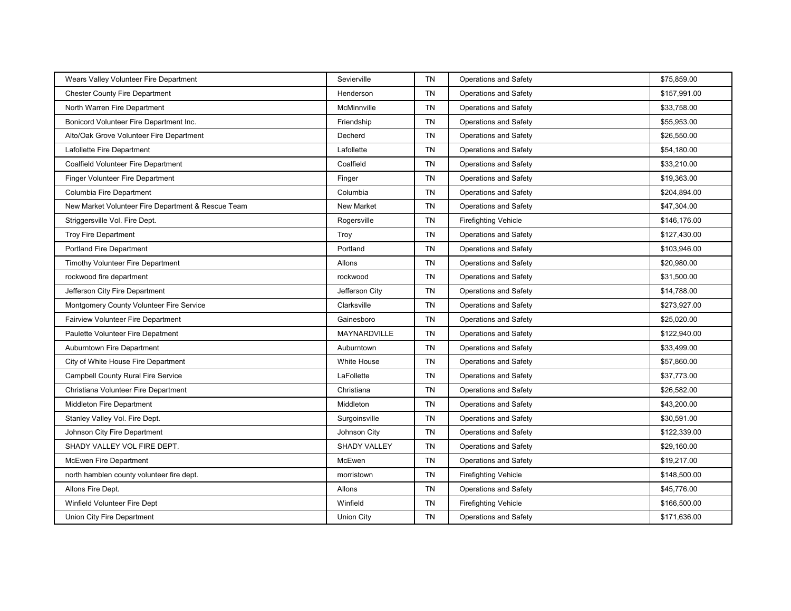| Wears Valley Volunteer Fire Department             | Sevierville         | <b>TN</b> | <b>Operations and Safety</b> | \$75,859.00  |
|----------------------------------------------------|---------------------|-----------|------------------------------|--------------|
| <b>Chester County Fire Department</b>              | Henderson           | <b>TN</b> | Operations and Safety        | \$157,991.00 |
| North Warren Fire Department                       | McMinnville         | <b>TN</b> | <b>Operations and Safety</b> | \$33,758.00  |
| Bonicord Volunteer Fire Department Inc.            | Friendship          | <b>TN</b> | Operations and Safety        | \$55,953.00  |
| Alto/Oak Grove Volunteer Fire Department           | Decherd             | TN        | <b>Operations and Safety</b> | \$26,550.00  |
| Lafollette Fire Department                         | Lafollette          | <b>TN</b> | <b>Operations and Safety</b> | \$54,180.00  |
| Coalfield Volunteer Fire Department                | Coalfield           | TN        | Operations and Safety        | \$33,210.00  |
| Finger Volunteer Fire Department                   | Finger              | <b>TN</b> | <b>Operations and Safety</b> | \$19,363.00  |
| Columbia Fire Department                           | Columbia            | <b>TN</b> | <b>Operations and Safety</b> | \$204,894.00 |
| New Market Volunteer Fire Department & Rescue Team | <b>New Market</b>   | <b>TN</b> | Operations and Safety        | \$47,304.00  |
| Striggersville Vol. Fire Dept.                     | Rogersville         | TN        | <b>Firefighting Vehicle</b>  | \$146,176.00 |
| <b>Troy Fire Department</b>                        | Troy                | <b>TN</b> | Operations and Safety        | \$127,430.00 |
| <b>Portland Fire Department</b>                    | Portland            | <b>TN</b> | Operations and Safety        | \$103,946.00 |
| <b>Timothy Volunteer Fire Department</b>           | Allons              | TN        | <b>Operations and Safety</b> | \$20,980.00  |
| rockwood fire department                           | rockwood            | <b>TN</b> | <b>Operations and Safety</b> | \$31,500.00  |
| Jefferson City Fire Department                     | Jefferson City      | TN        | Operations and Safety        | \$14,788.00  |
| Montgomery County Volunteer Fire Service           | Clarksville         | <b>TN</b> | <b>Operations and Safety</b> | \$273,927.00 |
| <b>Fairview Volunteer Fire Department</b>          | Gainesboro          | <b>TN</b> | <b>Operations and Safety</b> | \$25,020.00  |
| Paulette Volunteer Fire Depatment                  | <b>MAYNARDVILLE</b> | TN        | Operations and Safety        | \$122,940.00 |
| Auburntown Fire Department                         | Auburntown          | TN        | <b>Operations and Safety</b> | \$33,499.00  |
| City of White House Fire Department                | <b>White House</b>  | <b>TN</b> | <b>Operations and Safety</b> | \$57,860.00  |
| Campbell County Rural Fire Service                 | LaFollette          | TN        | Operations and Safety        | \$37,773.00  |
| Christiana Volunteer Fire Department               | Christiana          | <b>TN</b> | <b>Operations and Safety</b> | \$26,582.00  |
| Middleton Fire Department                          | Middleton           | <b>TN</b> | Operations and Safety        | \$43,200.00  |
| Stanley Valley Vol. Fire Dept.                     | Surgoinsville       | <b>TN</b> | Operations and Safety        | \$30,591.00  |
| Johnson City Fire Department                       | Johnson City        | <b>TN</b> | <b>Operations and Safety</b> | \$122,339.00 |
| SHADY VALLEY VOL FIRE DEPT.                        | <b>SHADY VALLEY</b> | <b>TN</b> | Operations and Safety        | \$29,160.00  |
| McEwen Fire Department                             | McEwen              | <b>TN</b> | Operations and Safety        | \$19,217.00  |
| north hamblen county volunteer fire dept.          | morristown          | TN        | <b>Firefighting Vehicle</b>  | \$148,500.00 |
| Allons Fire Dept.                                  | Allons              | <b>TN</b> | Operations and Safety        | \$45,776.00  |
| Winfield Volunteer Fire Dept                       | Winfield            | TN        | <b>Firefighting Vehicle</b>  | \$166,500.00 |
| Union City Fire Department                         | <b>Union City</b>   | <b>TN</b> | <b>Operations and Safety</b> | \$171,636.00 |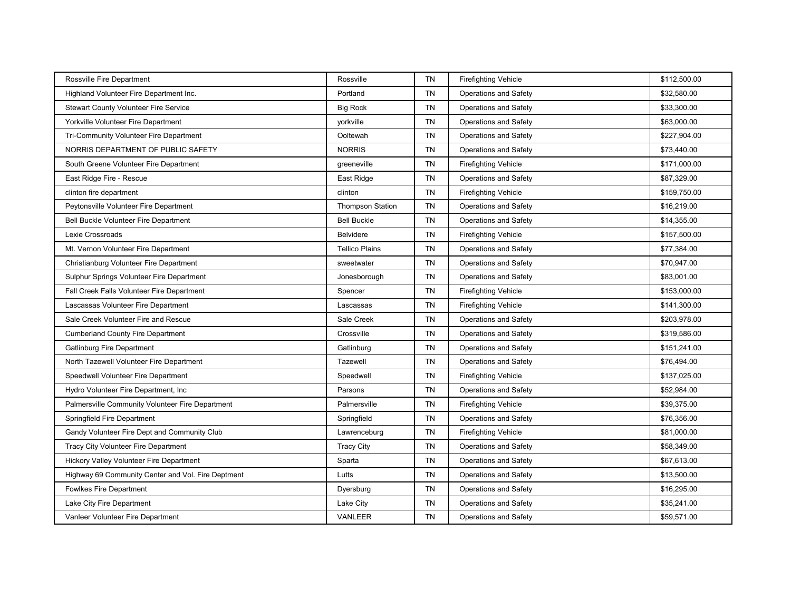| Rossville Fire Department                          | Rossville               | <b>TN</b> | <b>Firefighting Vehicle</b>  | \$112,500.00 |
|----------------------------------------------------|-------------------------|-----------|------------------------------|--------------|
| Highland Volunteer Fire Department Inc.            | Portland                | <b>TN</b> | Operations and Safety        | \$32,580.00  |
| <b>Stewart County Volunteer Fire Service</b>       | <b>Big Rock</b>         | <b>TN</b> | <b>Operations and Safety</b> | \$33,300.00  |
| Yorkville Volunteer Fire Department                | yorkville               | <b>TN</b> | <b>Operations and Safety</b> | \$63,000.00  |
| Tri-Community Volunteer Fire Department            | Ooltewah                | <b>TN</b> | <b>Operations and Safety</b> | \$227,904.00 |
| NORRIS DEPARTMENT OF PUBLIC SAFETY                 | <b>NORRIS</b>           | <b>TN</b> | <b>Operations and Safety</b> | \$73,440.00  |
| South Greene Volunteer Fire Department             | greeneville             | <b>TN</b> | <b>Firefighting Vehicle</b>  | \$171,000.00 |
| East Ridge Fire - Rescue                           | East Ridge              | TN        | <b>Operations and Safety</b> | \$87,329.00  |
| clinton fire department                            | clinton                 | <b>TN</b> | <b>Firefighting Vehicle</b>  | \$159,750.00 |
| Peytonsville Volunteer Fire Department             | <b>Thompson Station</b> | TN        | <b>Operations and Safety</b> | \$16,219.00  |
| <b>Bell Buckle Volunteer Fire Department</b>       | <b>Bell Buckle</b>      | <b>TN</b> | <b>Operations and Safety</b> | \$14,355.00  |
| Lexie Crossroads                                   | Belvidere               | TN        | <b>Firefighting Vehicle</b>  | \$157,500.00 |
| Mt. Vernon Volunteer Fire Department               | <b>Tellico Plains</b>   | <b>TN</b> | <b>Operations and Safety</b> | \$77,384.00  |
| Christianburg Volunteer Fire Department            | sweetwater              | TN        | <b>Operations and Safety</b> | \$70,947.00  |
| Sulphur Springs Volunteer Fire Department          | Jonesborough            | <b>TN</b> | <b>Operations and Safety</b> | \$83,001.00  |
| Fall Creek Falls Volunteer Fire Department         | Spencer                 | TN        | <b>Firefighting Vehicle</b>  | \$153,000.00 |
| Lascassas Volunteer Fire Department                | Lascassas               | TN        | <b>Firefighting Vehicle</b>  | \$141,300.00 |
| Sale Creek Volunteer Fire and Rescue               | Sale Creek              | <b>TN</b> | <b>Operations and Safety</b> | \$203,978.00 |
| <b>Cumberland County Fire Department</b>           | Crossville              | TN        | <b>Operations and Safety</b> | \$319,586.00 |
| <b>Gatlinburg Fire Department</b>                  | Gatlinburg              | <b>TN</b> | <b>Operations and Safety</b> | \$151,241.00 |
| North Tazewell Volunteer Fire Department           | Tazewell                | TN        | <b>Operations and Safety</b> | \$76,494.00  |
| Speedwell Volunteer Fire Department                | Speedwell               | <b>TN</b> | <b>Firefighting Vehicle</b>  | \$137,025.00 |
| Hydro Volunteer Fire Department, Inc.              | Parsons                 | <b>TN</b> | Operations and Safety        | \$52,984.00  |
| Palmersville Community Volunteer Fire Department   | Palmersville            | <b>TN</b> | <b>Firefighting Vehicle</b>  | \$39,375.00  |
| Springfield Fire Department                        | Springfield             | TN        | Operations and Safety        | \$76,356.00  |
| Gandy Volunteer Fire Dept and Community Club       | Lawrenceburg            | TN        | <b>Firefighting Vehicle</b>  | \$81,000.00  |
| Tracy City Volunteer Fire Department               | <b>Tracy City</b>       | <b>TN</b> | <b>Operations and Safety</b> | \$58,349.00  |
| Hickory Valley Volunteer Fire Department           | Sparta                  | TN        | Operations and Safety        | \$67,613.00  |
| Highway 69 Community Center and Vol. Fire Deptment | Lutts                   | <b>TN</b> | <b>Operations and Safety</b> | \$13,500.00  |
| <b>Fowlkes Fire Department</b>                     | Dyersburg               | <b>TN</b> | <b>Operations and Safety</b> | \$16,295.00  |
| Lake City Fire Department                          | Lake City               | TN        | <b>Operations and Safety</b> | \$35,241.00  |
| Vanleer Volunteer Fire Department                  | <b>VANLEER</b>          | <b>TN</b> | Operations and Safety        | \$59,571.00  |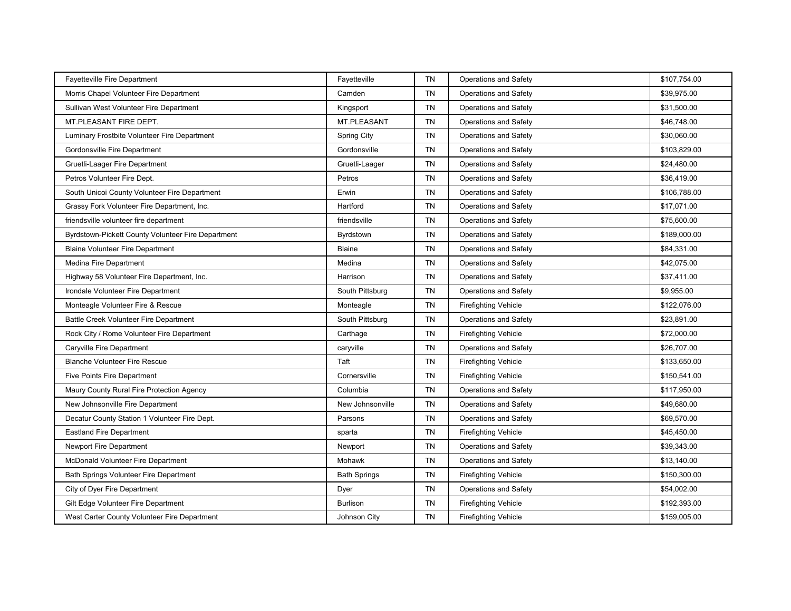| Fayetteville Fire Department                       | Fayetteville        | <b>TN</b> | <b>Operations and Safety</b> | \$107,754.00 |
|----------------------------------------------------|---------------------|-----------|------------------------------|--------------|
| Morris Chapel Volunteer Fire Department            | Camden              | <b>TN</b> | Operations and Safety        | \$39,975.00  |
| Sullivan West Volunteer Fire Department            | Kingsport           | <b>TN</b> | <b>Operations and Safety</b> | \$31,500.00  |
| MT.PLEASANT FIRE DEPT.                             | <b>MT.PLEASANT</b>  | <b>TN</b> | Operations and Safety        | \$46,748.00  |
| Luminary Frostbite Volunteer Fire Department       | <b>Spring City</b>  | <b>TN</b> | <b>Operations and Safety</b> | \$30,060.00  |
| Gordonsville Fire Department                       | Gordonsville        | <b>TN</b> | <b>Operations and Safety</b> | \$103,829.00 |
| Gruetli-Laager Fire Department                     | Gruetli-Laager      | <b>TN</b> | Operations and Safety        | \$24,480.00  |
| Petros Volunteer Fire Dept.                        | Petros              | <b>TN</b> | <b>Operations and Safety</b> | \$36,419.00  |
| South Unicoi County Volunteer Fire Department      | Erwin               | <b>TN</b> | <b>Operations and Safety</b> | \$106,788.00 |
| Grassy Fork Volunteer Fire Department, Inc.        | Hartford            | <b>TN</b> | <b>Operations and Safety</b> | \$17,071.00  |
| friendsville volunteer fire department             | friendsville        | <b>TN</b> | <b>Operations and Safety</b> | \$75,600.00  |
| Byrdstown-Pickett County Volunteer Fire Department | Byrdstown           | <b>TN</b> | Operations and Safety        | \$189,000.00 |
| <b>Blaine Volunteer Fire Department</b>            | <b>Blaine</b>       | <b>TN</b> | <b>Operations and Safety</b> | \$84,331.00  |
| Medina Fire Department                             | Medina              | <b>TN</b> | <b>Operations and Safety</b> | \$42,075.00  |
| Highway 58 Volunteer Fire Department, Inc.         | Harrison            | <b>TN</b> | <b>Operations and Safety</b> | \$37,411.00  |
| Irondale Volunteer Fire Department                 | South Pittsburg     | <b>TN</b> | <b>Operations and Safety</b> | \$9,955.00   |
| Monteagle Volunteer Fire & Rescue                  | Monteagle           | <b>TN</b> | <b>Firefighting Vehicle</b>  | \$122,076.00 |
| <b>Battle Creek Volunteer Fire Department</b>      | South Pittsburg     | <b>TN</b> | <b>Operations and Safety</b> | \$23,891.00  |
| Rock City / Rome Volunteer Fire Department         | Carthage            | TN        | <b>Firefighting Vehicle</b>  | \$72,000.00  |
| Caryville Fire Department                          | caryville           | <b>TN</b> | <b>Operations and Safety</b> | \$26,707.00  |
| <b>Blanche Volunteer Fire Rescue</b>               | Taft                | <b>TN</b> | <b>Firefighting Vehicle</b>  | \$133,650.00 |
| Five Points Fire Department                        | Cornersville        | <b>TN</b> | <b>Firefighting Vehicle</b>  | \$150,541.00 |
| Maury County Rural Fire Protection Agency          | Columbia            | <b>TN</b> | Operations and Safety        | \$117,950.00 |
| New Johnsonville Fire Department                   | New Johnsonville    | TN        | <b>Operations and Safety</b> | \$49,680.00  |
| Decatur County Station 1 Volunteer Fire Dept.      | Parsons             | <b>TN</b> | Operations and Safety        | \$69,570.00  |
| <b>Eastland Fire Department</b>                    | sparta              | <b>TN</b> | <b>Firefighting Vehicle</b>  | \$45,450.00  |
| Newport Fire Department                            | Newport             | <b>TN</b> | <b>Operations and Safety</b> | \$39,343.00  |
| McDonald Volunteer Fire Department                 | Mohawk              | <b>TN</b> | Operations and Safety        | \$13,140.00  |
| Bath Springs Volunteer Fire Department             | <b>Bath Springs</b> | <b>TN</b> | <b>Firefighting Vehicle</b>  | \$150,300.00 |
| City of Dyer Fire Department                       | Dyer                | <b>TN</b> | <b>Operations and Safety</b> | \$54,002.00  |
| Gilt Edge Volunteer Fire Department                | <b>Burlison</b>     | <b>TN</b> | <b>Firefighting Vehicle</b>  | \$192,393.00 |
| West Carter County Volunteer Fire Department       | Johnson City        | <b>TN</b> | <b>Firefighting Vehicle</b>  | \$159,005.00 |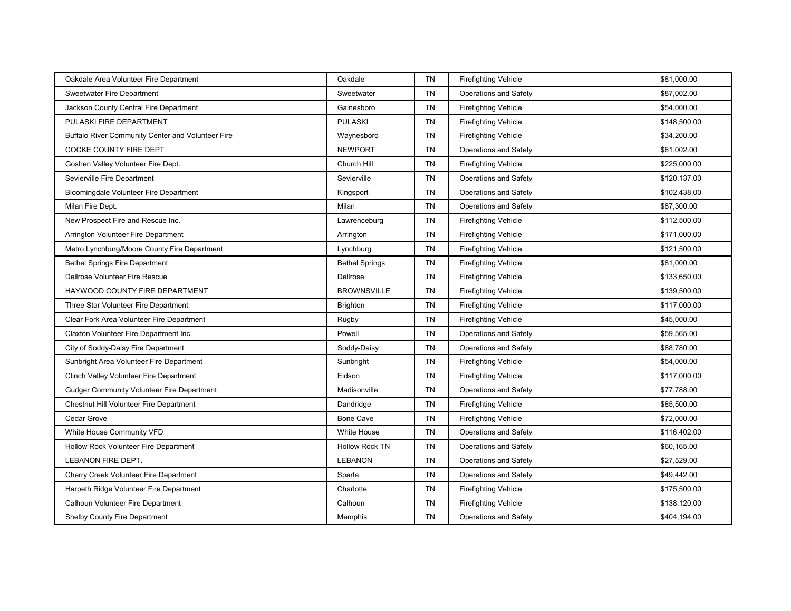| Oakdale Area Volunteer Fire Department            | Oakdale               | <b>TN</b> | <b>Firefighting Vehicle</b>  | \$81,000.00  |
|---------------------------------------------------|-----------------------|-----------|------------------------------|--------------|
| <b>Sweetwater Fire Department</b>                 | Sweetwater            | <b>TN</b> | <b>Operations and Safety</b> | \$87,002.00  |
| Jackson County Central Fire Department            | Gainesboro            | <b>TN</b> | <b>Firefighting Vehicle</b>  | \$54,000.00  |
| PULASKI FIRE DEPARTMENT                           | <b>PULASKI</b>        | TN        | <b>Firefighting Vehicle</b>  | \$148,500.00 |
| Buffalo River Community Center and Volunteer Fire | Waynesboro            | <b>TN</b> | <b>Firefighting Vehicle</b>  | \$34,200.00  |
| COCKE COUNTY FIRE DEPT                            | <b>NEWPORT</b>        | <b>TN</b> | <b>Operations and Safety</b> | \$61,002.00  |
| Goshen Valley Volunteer Fire Dept.                | Church Hill           | <b>TN</b> | <b>Firefighting Vehicle</b>  | \$225,000.00 |
| Sevierville Fire Department                       | Sevierville           | <b>TN</b> | <b>Operations and Safety</b> | \$120,137.00 |
| Bloomingdale Volunteer Fire Department            | Kingsport             | <b>TN</b> | <b>Operations and Safety</b> | \$102,438.00 |
| Milan Fire Dept.                                  | Milan                 | <b>TN</b> | Operations and Safety        | \$87,300.00  |
| New Prospect Fire and Rescue Inc.                 | Lawrenceburg          | TN        | <b>Firefighting Vehicle</b>  | \$112,500.00 |
| Arrington Volunteer Fire Department               | Arrington             | <b>TN</b> | <b>Firefighting Vehicle</b>  | \$171,000.00 |
| Metro Lynchburg/Moore County Fire Department      | Lynchburg             | TN        | <b>Firefighting Vehicle</b>  | \$121,500.00 |
| <b>Bethel Springs Fire Department</b>             | <b>Bethel Springs</b> | <b>TN</b> | <b>Firefighting Vehicle</b>  | \$81,000.00  |
| Dellrose Volunteer Fire Rescue                    | Dellrose              | TN        | <b>Firefighting Vehicle</b>  | \$133,650.00 |
| HAYWOOD COUNTY FIRE DEPARTMENT                    | <b>BROWNSVILLE</b>    | TN        | <b>Firefighting Vehicle</b>  | \$139,500.00 |
| Three Star Volunteer Fire Department              | <b>Brighton</b>       | <b>TN</b> | <b>Firefighting Vehicle</b>  | \$117,000.00 |
| Clear Fork Area Volunteer Fire Department         | Rugby                 | <b>TN</b> | <b>Firefighting Vehicle</b>  | \$45,000.00  |
| Claxton Volunteer Fire Department Inc.            | Powell                | TN        | Operations and Safety        | \$59,565.00  |
| City of Soddy-Daisy Fire Department               | Soddy-Daisy           | <b>TN</b> | <b>Operations and Safety</b> | \$88,780.00  |
| Sunbright Area Volunteer Fire Department          | Sunbright             | <b>TN</b> | <b>Firefighting Vehicle</b>  | \$54,000.00  |
| Clinch Valley Volunteer Fire Department           | Eidson                | <b>TN</b> | <b>Firefighting Vehicle</b>  | \$117,000.00 |
| Gudger Community Volunteer Fire Department        | Madisonville          | TN        | <b>Operations and Safety</b> | \$77,788.00  |
| Chestnut Hill Volunteer Fire Department           | Dandridge             | <b>TN</b> | <b>Firefighting Vehicle</b>  | \$85,500.00  |
| Cedar Grove                                       | <b>Bone Cave</b>      | TN        | <b>Firefighting Vehicle</b>  | \$72,000.00  |
| White House Community VFD                         | <b>White House</b>    | <b>TN</b> | <b>Operations and Safety</b> | \$116,402.00 |
| Hollow Rock Volunteer Fire Department             | <b>Hollow Rock TN</b> | <b>TN</b> | <b>Operations and Safety</b> | \$60,165.00  |
| LEBANON FIRE DEPT.                                | <b>LEBANON</b>        | TN        | <b>Operations and Safety</b> | \$27,529.00  |
| Cherry Creek Volunteer Fire Department            | Sparta                | <b>TN</b> | <b>Operations and Safety</b> | \$49,442.00  |
| Harpeth Ridge Volunteer Fire Department           | Charlotte             | TN        | <b>Firefighting Vehicle</b>  | \$175,500.00 |
| Calhoun Volunteer Fire Department                 | Calhoun               | <b>TN</b> | <b>Firefighting Vehicle</b>  | \$138,120.00 |
| Shelby County Fire Department                     | Memphis               | <b>TN</b> | Operations and Safety        | \$404,194.00 |